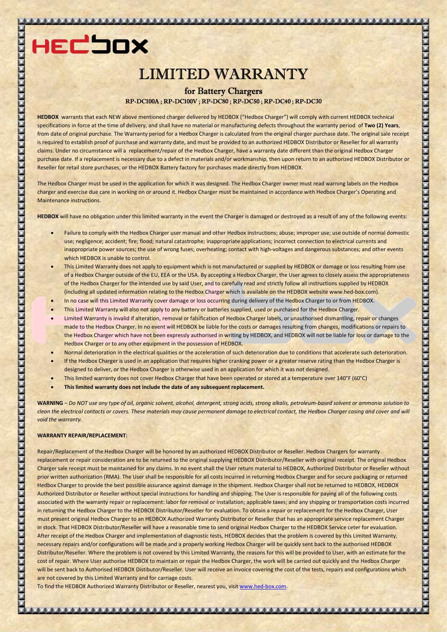# LIMITED WARRANTY

# RP-DC100A ; RP-DC100V ; RP-DC80 ; RP-DC50 ; RP-DC40 ; RP-DC30 for Battery Chargers

HEDBOX warrants that each NEW above mentioned charger delivered by HEDBOX ("Hedbox Charger") will comply with current HEDBOX technical specifications in force at the time of delivery, and shall have no material or manufacturing defects throughout the warranty period of Two (2) Years, specifications in force at the time of delivery, and shall have no material or manufacturing defects throughout the warranty period of **Two (2) Years**,<br>from date of original purchase. The Warranty period for a Hedbox Charg is required to establish proof of purchase and warranty date, and must be provided to an authorized HEDBOX Distributor or Reseller for all warranty claims. Under no circumstance will a replacement/repair of the Hedbox Charger, have a warranty date different than the original Hedbox Charger purchase date. If a replacement is necessary due to a defect in materials and/or workmanship, then upon return to an authorized HEDBOX Distributor or purchase date. If a replacement is necessary due to a defect in materials and/or workmanship, then upon return to<br>Reseller for retail store purchases, or the HEDBOX Battery factory for purchases made directly from HEDBOX.

The Hedbox Charger must be used in the application for which it was designed. The Hedbox Charger owner must read warning labels on the Hedbox charger and exercise due care in working on or around it. Hedbox Charger must be maintained in accordance with Hedbox Charger's Operating and Maintenance instructions.

HEDBOX will have no obligation under this limited warranty in the event the Charger is damaged or destroyed as a result of any of the following events:

- . Failure to comply with the Hedbox Charger user manual and other Hedbox instructions; abuse; improper use; use outside of normal domestic use; negligence; accident; fire; flood; natural catastrophe; inappropriate applications; incorrect connection to electrical currents and inappropriate power sources; the use of wrong fuses; overheating; contact with high-voltages and dangerous substances; and other events which HEDBOX is unable to control.
- This Limited Warranty does not apply to equipment which is not manufactured or supplied by HEDBOX or damage or loss resulting from use of a Hedbox Charger outside of the EU, EEA or the USA. By accepting a Hedbox Charger, the User agrees to closely assess the appropriateness of the Hedbox Charger for the intended use by said User, and to carefully read and strictly follow all instructions supplied by HEDBOX (including all updated information relating to the Hedbox Charger which is available on the HEDBOX website voltages and dangerous substances; and oth<br>plied by HEDBOX or damage or loss resulting<br>pr, the User agrees to closely assess the appr<br>ictly follow all instructions supplied by HEDE<br>n the HEDBOX website www.hed-box.com).
- . In no case will this Limited Warranty cover damage or loss occurring during delivery of the Hedbox Charger to or from HEDBOX.
- This Limited Warranty will also not apply to any battery or batteries supplied, used or purchased for the Hedbox Charger.
- Limited Warranty is invalid if alteration, removal or falsification of Hedbox Charger labels, or unauthorised dismantling, repair or changes made to the Hedbox Charger. In no event will HEDBOX be liable for the costs or damages resulting from changes, modifications or repairs to the Hedbox Charger which have not been expressly authorised in writing by HEDBOX, and HEDBOX will not be liable for loss or damage to the Hedbox Charger or to any other equipment in the possession of HEDBOX.

- Normal deterioration in the electrical qualities or the acceleration of such deterioration due to conditions that accelerate such deterioration.
- Ormal deterioration in the electrical qualities or the acceleration of such deterioration due to conditions that accelerate such deteriorations and the Hedbox Charger is used in an application that requires higher cranking designed to deliver, or the Hedbox Charger is otherwise used in an application for which it was not designed.
- This limited warranty does not cover Hedbox Charger that have been operated or stored at a temperature over 140°F (60°C)
- This limited warranty does not include the date of any subsequent replacement.

WARNING – Do NOT use any type of oil, organic solvent, alcohol, detergent, strong acids, strong alkalis, petroleum-based solvent or ammonia solution to WARNING – Do NOT use any type of oil, organic solvent, alcohol, detergent, strong acids, strong alkalis, petroleum-based solvent or ammonia solution to<br>clean the electrical contacts or covers. These materials may cause per void the warranty.

## WARRANTY REPAIR/REPLACEMENT:

Repair/Replacement of the Hedbox Charger will be honored by an authorized HEDBOX Distributor or Reseller. Hedbox Chargers for warranty replacement or repair consideration are to be returned to the original supplying HEDBOX Distributor/Reseller with original receipt. The original Hedbox Charger sale receipt must be maintained for any claims. In no event shall the User return material to HEDBOX, Authorized Distributor or Reseller without prior written authorization (RMA). The User shall be responsible for all costs incurred in returning Hedbox Charger and for secure packaging or returned Hedbox Charger to provide the best possible assurance against damage in the shipment. Hedbox Charger shall not be returned to HEDBOX, HEDBOX Authorized Distributor or Reseller without special instructions for handling and shipping. The User is responsible for paying all of the following costs associated with the warranty repair or replacement: labor for removal or installation; applicable taxes; and any shipping or transportation costs incurred associated with the warranty repair or replacement: labor for removal or installation; applicable taxes; and any shipping or transportation costs incurred<br>in returning the Hedbox Charger to the HEDBOX Distributor/Reseller must present original Hedbox Charger to an HEDBOX Authorized Warranty Distributor or Reseller that has an appropriate service replacement Charger in stock. That HEDBOX Distributor/Reseller will have a reasonable time to send original Hedbox Charger to the HEDBOX Service ceter for evaluation. After receipt of the Hedbox Charger and implementation of diagnostic tests, HEDBOX decides that the problem is covered by this Limited Warranty, necessary repairs and/or configurations will be made and a properly working Hedbox Charger will be quickly sent back to the authorised HEDBOX Distributor/Reseller. Where the problem is not covered by this Limited Warranty, the reasons for this will be provided to User, with an estimate for the cost of repair. Where User authorise HEDBOX to maintain or repair the Hedbox Charger, the work will be carried out quickly and the Hedbox Charger will be sent back to Authorised HEDBOX Distibutor/Reseller. User will receive an invoice covering the cost of the tests, repairs and configurations which are not covered by this Limited Warranty and for carriage costs. are not covered by this Limited Warranty and for carriage costs.<br>To find the HEDBOX Authorized Warranty Distributor or Reseller, nearest you, visit <u>www.hed-box.com</u>.

المنابط المنابعة المنابية والمنابية والمنابع المنابعة والمنابعة والمنابعة والمنابعة والمنابعة والمنابعة والمنابعة والمنابعات